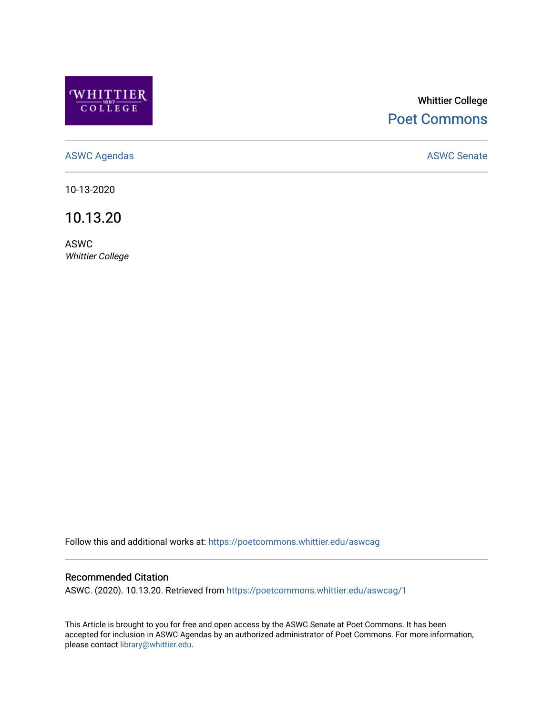

# Whittier College [Poet Commons](https://poetcommons.whittier.edu/)

[ASWC Agendas](https://poetcommons.whittier.edu/aswcag) **ASWC Senate** 

10-13-2020

10.13.20

ASWC Whittier College

Follow this and additional works at: [https://poetcommons.whittier.edu/aswcag](https://poetcommons.whittier.edu/aswcag?utm_source=poetcommons.whittier.edu%2Faswcag%2F1&utm_medium=PDF&utm_campaign=PDFCoverPages) 

# Recommended Citation

ASWC. (2020). 10.13.20. Retrieved from [https://poetcommons.whittier.edu/aswcag/1](https://poetcommons.whittier.edu/aswcag/1?utm_source=poetcommons.whittier.edu%2Faswcag%2F1&utm_medium=PDF&utm_campaign=PDFCoverPages) 

This Article is brought to you for free and open access by the ASWC Senate at Poet Commons. It has been accepted for inclusion in ASWC Agendas by an authorized administrator of Poet Commons. For more information, please contact [library@whittier.edu](mailto:library@whittier.edu).